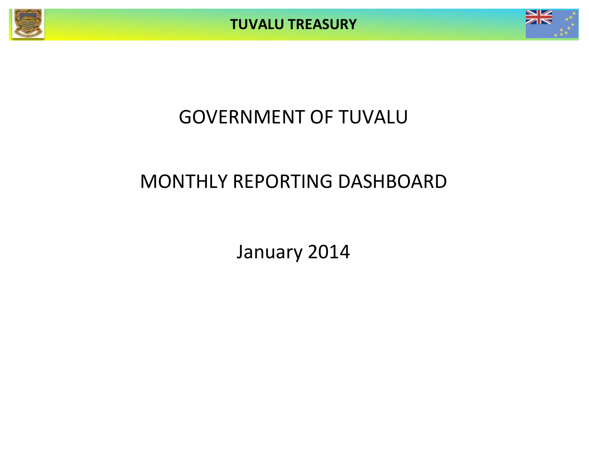



# GOVERNMENT OF TUVALU

# MONTHLY REPORTING DASHBOARD

January 2014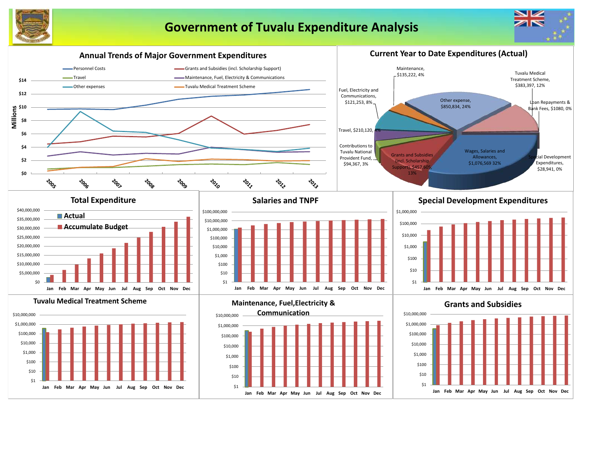





**Jan Feb Mar Apr May Jun Jul Aug Sep Oct Nov Dec**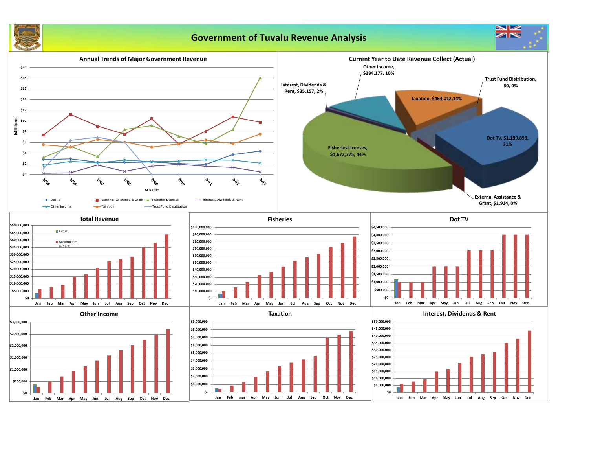

# **Government of Tuvalu Revenue Analysis**

 $z<sub>N</sub>$ 

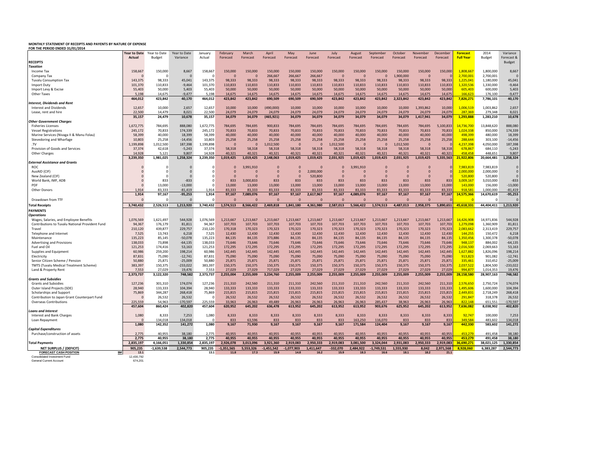## **MONTHLY STATEMENT OF RECEIPTS AND PAYENTS BY NATURE OF EXPENSE FOR THE PERIOD ENDED 31/01/2014**

| <b></b>                                                                   |                   |                   |                         |                   |                   |                   |                   |                   |                   |                   |                   |                   |                   |                   |                   |                      |                      |                             |
|---------------------------------------------------------------------------|-------------------|-------------------|-------------------------|-------------------|-------------------|-------------------|-------------------|-------------------|-------------------|-------------------|-------------------|-------------------|-------------------|-------------------|-------------------|----------------------|----------------------|-----------------------------|
|                                                                           | Year to Date      | Year to Date      | Year to Date            | January           | February          | March             | April             | May               | June              | July              | August            | September         | October           | November          | December          | <b>Forecast</b>      | 2014                 | Variance                    |
| <b>RECEIPTS</b>                                                           | Actual            | Budget            | Variance                | Actual            | Forecast          | Forecast          | Forecast          | Forecast          | Forecast          | Forecast          | Forecast          | Forecast          | Forecast          | Forecast          | Forecast          | <b>Full Year</b>     | <b>Budget</b>        | Forecast &<br><b>Budget</b> |
| Taxation                                                                  |                   |                   |                         |                   |                   |                   |                   |                   |                   |                   |                   |                   |                   |                   |                   |                      |                      |                             |
| Income Tax                                                                | 158,667           | 150,000           | 8,667                   | 158,667           | 150,000           | 150,000           | 150,000           | 150,000           | 150,000           | 150,000           | 150,000           | 150,000           | 150,000           | 150,000           | 150,000           | 1,808,667            | 1,800,000            | 8,667                       |
| Company Tax                                                               | $\mathbf 0$       | C                 | $\overline{0}$          | $\circ$           | $\mathbf{0}$      | $\mathbf{0}$      | 266,667           | 266,667           | 266,667           | $\mathbf{0}$      | $\overline{0}$    | $\mathbf 0$       | 1,900,000         | $\mathbf{0}$      |                   | 2,700,001            | 2,700,001            |                             |
| <b>Tuvalu Consumption Tax</b>                                             | 143,375           | 98,333            | 45,041                  | 143,375           | 98.333            | 98.333            | 98.333            | 98.333            | 98.333            | 98.333            | 98.333            | 98.333            | 98,333            | 98,333            | 98,333            | 1,225,041            | 1,180,000            | 45,041                      |
| Import Duty                                                               | 101,370           | 110,833           | $-9,464$                | 101,370           | 110,833           | 110,833           | 110,833           | 110,833           | 110,833           | 110,833           | 110,833           | 110,833           | 110,833           | 110,833           | 110,833           | 1,320,536            | 1,330,000            | $-9,464$                    |
| Import Levy & Excise                                                      | 55,403            | 50,000            | 5,403                   | 55,403            | 50,000            | 50,000            | 50,000            | 50,000            | 50,000            | 50,000            | 50,000            | 50,000            | 50,000            | 50,000            | 50,000            | 605,403              | 600,000              | 5,403                       |
| Other Taxes                                                               | 5.198             | 14.675            | $-9.477$                | 5.198             | 14.675            | 14.675            | 14,675            | 14.675            | 14.675            | 14.675            | 14.675            | 14.675            | 14.675            | 14.675            | 14.675            | 166,623              | 176,100              | $-9,477$                    |
|                                                                           | 464,012           | 423,842           | 40,170                  | 464,012           | 423,842           | 423,842           | 690,509           | 690,509           | 690,509           | 423,842           | 423,842           | 423,842           | 2,323,842         | 423,842           | 423,842           | 7,826,271            | 7,786,101            | 40,170                      |
| <b>Interest, Dividends and Rent</b>                                       |                   |                   |                         |                   |                   |                   |                   |                   |                   |                   |                   |                   |                   |                   |                   |                      |                      |                             |
| <b>Interest and Dividends</b>                                             | 12,657            | 10,000            | 2,657                   | 12,657            | 10,000            | 10,000            | (490,000)         | 10,000            | 10,000            | 10,000            | 10,000            | 10,000            | 10,000            | 1,393,862         | 10,000            | 1,006,519            | 1,003,862            | 2,657                       |
| Lease, rent and hire                                                      | 22,500            | 14,479            | 8,021                   | 22,500            | 24,079            | 24,079            | 24,079            | 24,079            | 24,079            | 24,079            | 24,079            | 24,079            | 24,079            | 24,079            | 24,079            | 287,369              | 279,348              | 8,021                       |
|                                                                           | 35.157            | 24,479            | 10,678                  | 35,157            | 34,079            | 34.079            | (465, 921)        | 34.079            | 34.079            | 34.079            | 34.079            | 34,079            | 34.079            | 1,417,941         | 34,079            | 1,293,888            | 1,283,210            | 10,678                      |
| <b>Other Government Charges</b>                                           |                   |                   |                         |                   |                   |                   |                   |                   |                   |                   |                   |                   |                   |                   |                   |                      |                      |                             |
| <b>Fisheries Licenses</b>                                                 | 1,672,775         | 784,695           | 888,080                 | 1,672,775         | 784,695           | 784,695           | 900,833           | 784,695           | 784,695           | 784,695           | 784,695           | 784,695           | 784,695           | 784,695           | 5,100,83          | 4.736.700            | 13,848,620           | 888,080                     |
| <b>Vessel Registrations</b>                                               | 245,172           | 70,833            | 174,339                 | 245,172           | 70.833            | 70.833            | 70.833            | 70.833            | 70.833            | 70.833            | 70.833            | 70.833            | 70.833            | 70,833            | 70.833            | 1.024.338            | 850,000              | 174,339                     |
| Marine Services (Nivaga II & Manu Folau)                                  | 58,399            | 40,000            | 18,399                  | 58,399            | 40,000            | 40,000            | 40,000            | 40,000            | 40,000            | 40,000            | 40,000            | 40,000            | 40,000            | 40,000            | 40,000            | 498,399              | 480,000              | 18,399                      |
| Stevedoring and Wharfage                                                  | 10,803            | 25,258            | $-14,456$               | 10,803            | 25,258            | 25,258            | 25,258            | 25,258            | 25,258            | 25,258            | 25,258            | 25,258            | 25,258            | 25,258            | 25,258            | 288,644              | 303,100              | $-14,456$                   |
| .TV                                                                       | 1,199,898         | 1,012,500         | 187,398                 | 1,199,898         | $\Omega$          | $\Omega$          | 1.012.500         | $\Omega$          | $\Omega$          | 1.012.500         | $\Omega$          | $\Omega$          | 1,012,500         | $\Omega$          |                   | 4,237,398            | 4,050,000            | 187,398                     |
| Provision of Goods and Services                                           | 37,374            | 42,618            | $-5,243$                | 37,374            | 58,318            | 58,318            | 58,318            | 58,318            | 58,318            | 58,318            | 58,318            | 58,318            | 58,318            | 58,318            | 58,318            | 678,867              | 684,110              | $-5,243$                    |
| Other Charges                                                             | 14.928            | 5.121             | 9.807                   | 14.928            | 40.321            | 40.321            | 40.321            | 40.321            | 40.321            | 40.321            | 40.321            | 40.321            | 40.321            | 40.321            | 40.32             | 458,458              | 448.651              | 9.807                       |
|                                                                           | 3,239,350         | 1,981,025         | 1,258,324               | 3,239,350         | 1,019,425         | 1,019,425         | 2,148,063         | 1,019,425         | 1,019,425         | 2,031,925         | 1,019,425         | 1,019,425         | 2,031,925         | 1,019,425         | 5,335,563         | 21,922,806           | 20,664,481           | 1,258,324                   |
| External Assistance and Grants<br><b>ROC</b>                              | $\Omega$          | ſ                 | $\Omega$                | r                 | $\Omega$          | 3.991.910         | $\Omega$          | $\Omega$          | $\Omega$          | $\Omega$          | 3.991.910         | $\Omega$          | $\Omega$          | $\Omega$          |                   | 7.983.819            | 7,983,819            | $\Omega$                    |
| AusAID (CIF)                                                              | $\Omega$          | ſ                 | $\Omega$                | r                 | $\Omega$          | $\Omega$          | $\Omega$          | $\Omega$          | 2.000.000         | $\mathbf 0$       | $\Omega$          | $\mathbf 0$       | $\Omega$          | $\mathbf{0}$      |                   | 2.000.000            | 2,000,000            | $\Omega$                    |
| New Zealand (CIF)                                                         | $\Omega$          | -C                | $\Omega$                |                   | $\mathbf{0}$      |                   | $\Omega$          | $\Omega$          | 520,800           | $\mathbf 0$       | $\mathbf 0$       | $\mathbf 0$       | $\mathbf 0$       | $\mathbf{0}$      |                   | 520,800              | 520,800              | $\Omega$                    |
| World Bank, IMF, ADB                                                      | $\Omega$          | 833               | $-833$                  | $\Omega$          | 833               | 3,000,833         | 833               | 833               | 833               | 833               | 833               | 833               | 833               | 833               | 833               | 3,009,167            | 3,010,000            | $-833$                      |
| PDF                                                                       | $\Omega$          | 13,000            | $-13,000$               | $\Omega$          | 13,000            | 13,000            | 13,000            | 13,000            | 13,000            | 13,000            | 13,000            | 13,000            | 13,000            | 13,000            | 13,000            | 143,000              | 156,000              | $-13,000$                   |
| Other Donors                                                              | 1.914             | 83,333            | $-81,419$               | 1,914             | 83.333            | 83,333            | 83,333            | 83.333            | 83,333            | 83,333            | 83.333            | 83,333            | 83,333            | 83,333            | 83,333            | 918,581              | 1,000,000            | $-81,419$                   |
|                                                                           | 1,914             | 97,167            | $-95,253$               | 1,914             | 97,167            | 7,089,076         | 97,167            | 97,167            | 2,617,967         | 97,167            | 4,089,076         | 97,167            | 97,167            | 97,167            | 97,167            | 14,575,366           | 14,670,619           | $-95,253$                   |
| Drawdown from TTF                                                         | $\Omega$          | $\Omega$          | $\Omega$                | $\Omega$          | $\Omega$          | $\Omega$          | $\Omega$          | $\Omega$          | $\Omega$          | $\Omega$          | $\Omega$          | $\Omega$          | $\Omega$          | $\Omega$          |                   |                      | n                    |                             |
|                                                                           |                   |                   |                         |                   |                   |                   |                   |                   |                   |                   |                   |                   |                   |                   |                   |                      |                      |                             |
| <b>Total Receipts</b>                                                     | 3,740,432         | 2,526,513         | 1,213,920               | 3,740,432         | 1,574,513         | 8,566,422         | 2,469,818         | 1,841,180         | 4,361,980         | 2,587,013         | 5,566,422         | 1,574,513         | 4,487,013         | 2,958,375         | 5,890,651         | 45,618,331           | 44,404,411           | 1,213,920                   |
| <b>PAYMENTS</b>                                                           |                   |                   |                         |                   |                   |                   |                   |                   |                   |                   |                   |                   |                   |                   |                   |                      |                      |                             |
| <b>Operations</b>                                                         |                   |                   |                         |                   |                   |                   |                   |                   |                   |                   |                   |                   |                   |                   |                   |                      |                      |                             |
| Wages, Salaries, and Employee Benefits                                    | 1,076,569         | 1,621,497         | 544,928                 | 1,076,569         | 1,213,667         | 1,213,667         | 1,213,667         | 1,213,667         | 1,213,667         | 1,213,667         | 1,213,667         | 1,213,667         | 1,213,667         | 1,213,667         | 1,213,667         | 14,426,908           | 14,971,836           | 544,928                     |
| Contributions to Tuvalu National Provident Fund                           | 94,367            | 176,179           | 81,811                  | 94,367            | 107,703           | 107,703           | 107,703           | 107,703           | 107,703           | 107,703           | 107,703           | 107,703           | 107,703           | 107,703           | 107,703           | 1,279,098            | 1,360,909            | 81,811                      |
| Travel                                                                    | 210,120           | 439,877           | 229,757                 | 210,120           | 170,318           | 170,323           | 170,323           | 170,323           | 170,323           | 170,323           | 170,323           | 170,323           | 170,323           | 170,323           | 170,323           | 2,083,662            | 2,313,419            | 229,757                     |
| Telephone and Internet                                                    | 7,525             | 13,743            | 6,218                   | 7,525             | 12,430            | 12,430            | 12,430            | 12,430            | 12,430            | 12,430            | 12,430            | 12,430            | 12,430            | 12,430            | 12,430            | 144,255              | 150,472              | 6,218                       |
| Maintenance                                                               | 135,223           | 85,145            | $-50,078$               | 135,223           | 84,135            | 84,135            | 373,886           | 84,135            | 84,135            | 84,135            | 84,135            | 84,135            | 84,135            | 84,135            | 84,135            | 1,350,456            | 1,300,378            | $-50,078$                   |
| Advertising and Provisions                                                | 138,033           | 73,898            | $-64, 135$              | 138,033           | 73,646            | 73,646            | 73,646            | 73,646            | 73,646            | 73,646            | 73,646            | 73,646            | 73,646            | 73,646            | 73,646            | 948,137              | 884,002              | $-64, 135$                  |
| Fuel and Oil                                                              | 121.253           | 174,416           | 53,163                  | 121,253           | 172.295           | 172,295           | 172,295           | 172,295           | 172,295           | 172.295           | 172,295           | 172,295           | 172.295           | 172,295           | 172,295           | 2.016.500            | 2,069,663            | 53,163<br>198,214           |
| Supplies and Equipment                                                    | 60.986            | 259,200           | 198.214                 | 60,986            | 142,445           | 142.445           | 142,445           | 142.445           | 142,445           | 142.445           | 142.445           | 142.445           | 142.445           | 142.445           | 142,445           | 1,627,882            | 1,826,096            | $-12,741$                   |
| Electricity                                                               | 87,831            | 75,090            | $-12,741$               | 87,831            | 75,090            | 75,090            | 75,090            | 75,090            | 75,090            | 75,090            | 75,090            | 75,090            | 75,090            | 75,090            | 75,090            | 913,823              | 901,082              |                             |
| Senior Citizen Scheme / Pension<br>TMTS (Tuvalu Medical Treatment Scheme) | 50,880<br>383.397 | 25,871<br>150,375 | $-25,009$<br>$-233,022$ | 50,880<br>383,397 | 25,871<br>150.375 | 25,871<br>150,375 | 25,871<br>150,375 | 25,871<br>150.375 | 25,871<br>150.375 | 25,871<br>150.375 | 25,871<br>150.375 | 25,871<br>150.375 | 25,871<br>150.375 | 25,871<br>150,375 | 25,871<br>150.375 | 335,461<br>2.037.522 | 310,452<br>1,804,500 | $-25,009$<br>$-233,022$     |
| Land & Property Rent                                                      | 7,553             | 27,029            | 19,476                  | 7,553             | 27,029            | 27,029            | 717,029           | 27,029            | 27,029            | 27,029            | 27,029            | 27,029            | 27,029            | 27,029            | 27,029            | 994.877              | 1,014,353            | 19,476                      |
|                                                                           | 2,373,737         | 3,122,320         | 748,582                 | 2,373,737         | 2,255,004         | 2,255,009         | 3,234,760         | 2,255,009         | 2,255,009         | 2,255,009         | 2,255,009         | 2,255,009         | 2,255,009         | 2,255,009         | 2,255,009         | 28,158,580           | 28,907,163           | 748,582                     |
| <b>Grants and Subsidies</b>                                               |                   |                   |                         |                   |                   |                   |                   |                   |                   |                   |                   |                   |                   |                   |                   |                      |                      |                             |
| <b>Grants and Subsidies</b>                                               | 127.236           | 301,310           | 174,074                 | 127,236           | 211,310           | 242,560           | 211,310           | 211,310           | 242,560           | 211,310           | 211,310           | 242,560           | 211,310           | 242,560           | 211,310           | 2,576,650            | 2,750,724            | 174,074                     |
| Outer Island Projects (SDE)                                               | 28.940            | 133,333           | 104.394                 | 28,940            | 133.333           | 133.333           | 133.333           | 133.333           | 133.333           | 133.333           | 133.333           | 133.333           | 133.333           | 133.333           | 133.333           | 1.495.606            | 1,600,000            | 104.394                     |
| Scholarships and Support                                                  | 75,869            | 344,287           | 268,418                 | 75,869            | 215,815           | 215,815           | 215,815           | 215,815           | 215,815           | 215,815           | 215,815           | 215,815           | 215,815           | 215,815           | 215,815           | 2.449.831            | 2,718,249            | 268,418                     |
| Contribution to Japan Grant Counterpart Fund                              | $\Omega$          | 26,532            | 26,532                  | $\Omega$          | 26,532            | 26,532            | 26,532            | 26,532            | 26,532            | 26,532            | 26,532            | 26,532            | 26,532            | 26,532            | 26,532            | 291,847              | 318,378              | 26,532                      |
| <b>Overseas Contributions</b>                                             | 225.559           | 54.963            | $-170,597$              | 225.559           | 33,963            | 26,963            | 49,489            | 26,963            | 26,963            | 26,963            | 26,963            | 285,437           | 38.963            | 26,963            | 26,963            | 822.148              | 651,551              | $-170,597$                  |
|                                                                           | 457,604           | 860,424           | 402,820                 | 457,604           | 620,952           | 645,202           | 636,478           | 613,952           | 645,202           | 613,952           | 613,952           | 903,676           | 625,952           | 645,202           | 613,952           | 7,636,082            | 8,038,902            | 402,820                     |
| <b>Loans and Interest</b>                                                 |                   |                   |                         |                   |                   |                   |                   |                   |                   |                   |                   |                   |                   |                   |                   |                      |                      |                             |
| <b>Interest and Bank Charges</b>                                          | 1,080             | 8,333             | 7,253                   | 1,080             | 8,333             | 8,333             | 8,333             | 8,333             | 8,333             | 8,333             | 8,333             | 8,333             | 8,333             | 8,333             | 8,333             | 92.747               | 100,000              | 7,253                       |
| Loan Repayment                                                            | $\Omega$          | 134,018           | 134,018                 | $\Omega$          | 833               | 63,596            | 833               | 833               | 833               | 833               | 163,250           | 116,070           | 833               | 833               | 83                | 349.584              | 483,602              | 134,018                     |
|                                                                           | 1.080             | 142,352           | 141,272                 | 1,080             | 9.167             | 71,930            | 9.167             | 9.167             | 9.167             | 9.167             | 171,584           | 124,404           | 9.167             | 9.167             | 9,167             | 442,330              | 583,602              | 141,272                     |
| <b>Capital Expenditures</b>                                               |                   |                   |                         |                   |                   |                   |                   |                   |                   |                   |                   |                   |                   |                   |                   |                      |                      |                             |
| Purchase/construction of assets                                           | 2,775             | 40.955            | 38,180                  | 2.775             | 40,955            | 40.955            | 40.955            | 40.955            | 40.955            | 40.955            | 40,955            | 40,955            | 40,955            | 40,955            | 40.955            | 453,279              | 491,458              | 38,180                      |
|                                                                           | 2,775             | 40.955            | 38,180                  | 2,775             | 40,955            | 40,955            | 40.955            | 40,955            | 40,955            | 40,955            | 40,955            | 40,955            | 40,955            | 40,955            | 40,955            | 453.279              | 491,458              | 38,180                      |
| <b>Total Payments</b>                                                     | 2,835,197         | 4,166,051         | 1,330,854               | 2,835,197         | 2,926,078         | 3,013,096         | 3,921,360         | 2,919,083         | 2,950,333         | 2,919,083         | 3,081,500         | ,324,044          | 2,931,083         | 2,950,333         | 2,919,083         | 6,690,271            | 38,021,125           | 1,330,854                   |
| NET SURPLUS / (DEFICIT)                                                   | 905,235           | $-1,639,538$      | 2,544,773               | 905,235           | $-1,351,565$      | 5,553,326         | $-1,451,542$      | $-1,077,903$      | 1,411,647         | $-332,070$        | 2,484,922         | $-1,749,531$      | 1,555,930         | 8,042             | 2,971,568         | 8,928,060            | 6,383,287            | 2,544,773                   |
| <b>FORECAST CASH POSITION</b><br>\$M                                      | 13.1              |                   |                         | 13.1              | 11.8              | 17.3              | 15.9              | 14.8              | 16.2              | 15.9              | 18.3              | 16.6              | 18.1              | 18.2              | 21.1              |                      |                      |                             |
| Consolidated Investment Fund                                              | 12,430,792        |                   |                         |                   |                   |                   |                   |                   |                   |                   |                   |                   |                   |                   |                   |                      |                      |                             |
| <b>General Current Account</b>                                            | 674,201           |                   |                         |                   |                   |                   |                   |                   |                   |                   |                   |                   |                   |                   |                   |                      |                      |                             |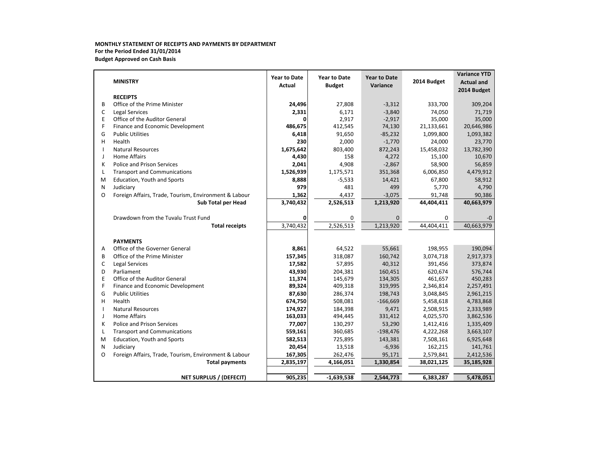### **MONTHLY STATEMENT OF RECEIPTS AND PAYMENTS BY DEPARTMENT For the Period Ended 31/01/2014 Budget Approved on Cash Basis**

|                          |                                                       | <b>Year to Date</b>     | <b>Year to Date</b> | <b>Year to Date</b> |             | <b>Variance YTD</b> |
|--------------------------|-------------------------------------------------------|-------------------------|---------------------|---------------------|-------------|---------------------|
|                          | <b>MINISTRY</b>                                       | Actual<br><b>Budget</b> |                     | Variance            | 2014 Budget | <b>Actual and</b>   |
|                          |                                                       |                         |                     |                     |             | 2014 Budget         |
|                          | <b>RECEIPTS</b>                                       |                         |                     |                     |             |                     |
| B                        | Office of the Prime Minister                          | 24,496                  | 27,808              | $-3,312$            | 333,700     | 309,204             |
| C                        | <b>Legal Services</b>                                 | 2,331                   | 6,171               | $-3,840$            | 74,050      | 71,719              |
| Ε                        | Office of the Auditor General                         |                         | 2,917               | $-2,917$            | 35,000      | 35,000              |
| F                        | Finance and Economic Development                      | 486,675                 | 412,545             | 74,130              | 21,133,661  | 20,646,986          |
| G                        | <b>Public Utilities</b>                               | 6,418                   | 91,650              | $-85,232$           | 1,099,800   | 1,093,382           |
| н                        | Health                                                | 230                     | 2,000               | $-1,770$            | 24,000      | 23,770              |
| $\overline{\phantom{a}}$ | <b>Natural Resources</b>                              | 1,675,642               | 803,400             | 872,243             | 15,458,032  | 13,782,390          |
| J                        | <b>Home Affairs</b>                                   | 4,430                   | 158                 | 4,272               | 15,100      | 10,670              |
| К                        | <b>Police and Prison Services</b>                     | 2,041                   | 4,908               | $-2,867$            | 58,900      | 56,859              |
| L                        | <b>Transport and Communications</b>                   | 1,526,939               | 1,175,571           | 351,368             | 6,006,850   | 4,479,912           |
| M                        | Education, Youth and Sports                           | 8,888                   | $-5,533$            | 14,421              | 67,800      | 58,912              |
| N                        | Judiciary                                             | 979                     | 481                 | 499                 | 5,770       | 4,790               |
| O                        | Foreign Affairs, Trade, Tourism, Environment & Labour | 1,362                   | 4,437               | $-3,075$            | 91,748      | 90,386              |
|                          | Sub Total per Head                                    | 3,740,432               | 2,526,513           | 1,213,920           | 44,404,411  | 40,663,979          |
|                          | Drawdown from the Tuvalu Trust Fund                   | 0                       | 0                   | $\Omega$            | 0           | $-0$                |
|                          | <b>Total receipts</b>                                 | 3,740,432               | 2,526,513           | 1,213,920           | 44,404,411  | 40,663,979          |
|                          |                                                       |                         |                     |                     |             |                     |
|                          | <b>PAYMENTS</b>                                       |                         |                     |                     |             |                     |
| Α                        | Office of the Governer General                        | 8,861                   | 64,522              | 55,661              | 198,955     | 190,094             |
| B                        | Office of the Prime Minister                          | 157,345                 | 318,087             | 160,742             | 3,074,718   | 2,917,373           |
| C                        | <b>Legal Services</b>                                 | 17,582                  | 57,895              | 40,312              | 391,456     | 373,874             |
| D                        | Parliament                                            | 43,930                  | 204,381             | 160,451             | 620,674     | 576,744             |
| E                        | Office of the Auditor General                         | 11,374                  | 145,679             | 134,305             | 461,657     | 450,283             |
| F                        | Finance and Economic Development                      | 89,324                  | 409,318             | 319,995             | 2,346,814   | 2,257,491           |
| G                        | <b>Public Utilities</b>                               | 87,630                  | 286,374             | 198,743             | 3,048,845   | 2,961,215           |
| н                        | Health                                                | 674,750                 | 508,081             | $-166,669$          | 5,458,618   | 4,783,868           |
|                          | <b>Natural Resources</b>                              | 174,927                 | 184,398             | 9,471               | 2,508,915   | 2,333,989           |
| $\perp$                  | <b>Home Affairs</b>                                   | 163,033                 | 494,445             | 331,412             | 4,025,570   | 3,862,536           |
| К                        | <b>Police and Prison Services</b>                     | 77,007                  | 130,297             | 53,290              | 1,412,416   | 1,335,409           |
| L                        | <b>Transport and Communications</b>                   | 559,161                 | 360,685             | $-198,476$          | 4,222,268   | 3,663,107           |
| M                        | Education, Youth and Sports                           | 582,513                 | 725,895             | 143,381             | 7,508,161   | 6,925,648           |
| N                        | Judiciary                                             | 20,454                  | 13,518              | $-6,936$            | 162,215     | 141,761             |
| O                        | Foreign Affairs, Trade, Tourism, Environment & Labour | 167,305                 | 262,476             | 95,171              | 2,579,841   | 2,412,536           |
|                          | <b>Total payments</b>                                 | 2,835,197               | 4,166,051           | 1,330,854           | 38,021,125  | 35,185,928          |
|                          |                                                       |                         |                     |                     |             |                     |
|                          | <b>NET SURPLUS / (DEFECIT)</b>                        | 905,235                 | $-1,639,538$        | 2,544,773           | 6,383,287   | 5,478,051           |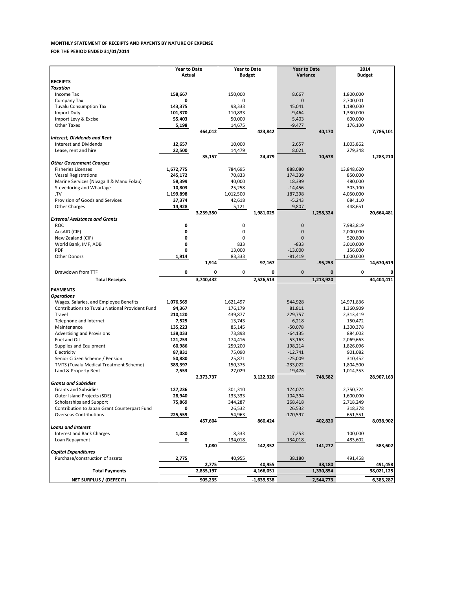### **MONTHLY STATEMENT OF RECEIPTS AND PAYENTS BY NATURE OF EXPENSE FOR THE PERIOD ENDED 31/01/2014**

|                                                                                           | <b>Year to Date</b> |           | <b>Year to Date</b>  |              | <b>Year to Date</b>    |              |                         |            |  |  |
|-------------------------------------------------------------------------------------------|---------------------|-----------|----------------------|--------------|------------------------|--------------|-------------------------|------------|--|--|
|                                                                                           | Actual              |           | <b>Budget</b>        |              | Variance               |              | 2014<br><b>Budget</b>   |            |  |  |
| <b>RECEIPTS</b>                                                                           |                     |           |                      |              |                        |              |                         |            |  |  |
| <b>Taxation</b>                                                                           |                     |           |                      |              |                        |              |                         |            |  |  |
| Income Tax                                                                                | 158,667             |           | 150,000              |              | 8,667                  |              | 1,800,000               |            |  |  |
| Company Tax                                                                               | 0                   |           | 0                    |              | $\mathbf{0}$           |              | 2,700,001               |            |  |  |
| <b>Tuvalu Consumption Tax</b>                                                             | 143,375             |           | 98,333               |              | 45.041                 |              | 1,180,000               |            |  |  |
| <b>Import Duty</b>                                                                        | 101,370             |           | 110,833              |              | $-9,464$               |              | 1,330,000               |            |  |  |
| Import Levy & Excise                                                                      | 55,403              |           | 50,000               |              | 5,403                  |              | 600,000                 |            |  |  |
| <b>Other Taxes</b>                                                                        | 5,198               |           | 14,675               |              | $-9,477$               |              | 176,100                 |            |  |  |
|                                                                                           |                     | 464,012   |                      | 423,842      |                        | 40,170       |                         | 7,786,101  |  |  |
| <b>Interest, Dividends and Rent</b>                                                       |                     |           |                      |              |                        |              |                         |            |  |  |
| <b>Interest and Dividends</b>                                                             | 12,657              |           | 10,000               |              | 2,657                  |              | 1,003,862               |            |  |  |
| Lease, rent and hire                                                                      | 22,500              |           | 14,479               |              | 8,021                  |              | 279,348                 |            |  |  |
|                                                                                           |                     | 35,157    |                      | 24,479       |                        | 10,678       |                         | 1,283,210  |  |  |
| <b>Other Government Charges</b>                                                           |                     |           |                      |              |                        |              |                         |            |  |  |
| <b>Fisheries Licenses</b>                                                                 | 1,672,775           |           | 784,695              |              | 888,080                |              | 13,848,620              |            |  |  |
| <b>Vessel Registrations</b>                                                               | 245,172             |           | 70,833               |              | 174,339                |              | 850,000                 |            |  |  |
| Marine Services (Nivaga II & Manu Folau)                                                  | 58,399              |           | 40,000               |              | 18,399                 |              | 480,000                 |            |  |  |
| Stevedoring and Wharfage                                                                  | 10,803              |           | 25,258               |              | $-14,456$              |              | 303,100                 |            |  |  |
| .TV                                                                                       | 1,199,898           |           | 1,012,500            |              | 187,398                |              | 4,050,000               |            |  |  |
| Provision of Goods and Services                                                           | 37,374              |           | 42,618               |              | $-5,243$               |              | 684,110                 |            |  |  |
| Other Charges                                                                             | 14,928              |           | 5,121                |              | 9,807                  |              | 448,651                 |            |  |  |
|                                                                                           |                     | 3,239,350 |                      | 1,981,025    |                        | 1,258,324    |                         | 20,664,481 |  |  |
| <b>External Assistance and Grants</b>                                                     |                     |           |                      |              |                        |              |                         |            |  |  |
| <b>ROC</b>                                                                                | 0                   |           | 0                    |              | $\mathbf{0}$           |              | 7,983,819               |            |  |  |
| AusAID (CIF)                                                                              | 0                   |           | 0                    |              | $\mathbf{0}$           |              | 2,000,000               |            |  |  |
| New Zealand (CIF)                                                                         | 0                   |           | 0                    |              | $\mathbf{0}$           |              | 520,800                 |            |  |  |
| World Bank, IMF, ADB                                                                      | 0                   |           | 833                  |              | $-833$                 |              | 3,010,000               |            |  |  |
| PDF                                                                                       | 0                   |           | 13,000               |              | $-13,000$              |              | 156,000                 |            |  |  |
| <b>Other Donors</b>                                                                       | 1,914               |           | 83,333               |              | $-81,419$              |              | 1,000,000               |            |  |  |
|                                                                                           |                     | 1,914     |                      | 97,167       |                        | $-95,253$    |                         | 14,670,619 |  |  |
|                                                                                           |                     |           |                      |              |                        |              |                         |            |  |  |
| Drawdown from TTF                                                                         | 0                   | 0         | 0                    | 0            | $\mathbf 0$            | $\mathbf{0}$ | 0                       |            |  |  |
| <b>Total Receipts</b>                                                                     |                     | 3,740,432 |                      | 2,526,513    |                        | 1,213,920    |                         | 44,404,411 |  |  |
| <b>PAYMENTS</b>                                                                           |                     |           |                      |              |                        |              |                         |            |  |  |
|                                                                                           |                     |           |                      |              |                        |              |                         |            |  |  |
| <b>Operations</b>                                                                         |                     |           |                      |              |                        |              |                         |            |  |  |
| Wages, Salaries, and Employee Benefits<br>Contributions to Tuvalu National Provident Fund | 1,076,569<br>94,367 |           | 1,621,497<br>176,179 |              | 544,928                |              | 14,971,836<br>1,360,909 |            |  |  |
| Travel                                                                                    |                     |           |                      |              | 81,811                 |              |                         |            |  |  |
| Telephone and Internet                                                                    | 210,120<br>7,525    |           | 439,877<br>13,743    |              | 229,757<br>6,218       |              | 2,313,419               |            |  |  |
| Maintenance                                                                               | 135,223             |           | 85,145               |              | $-50,078$              |              | 150,472                 |            |  |  |
|                                                                                           |                     |           |                      |              |                        |              | 1,300,378               |            |  |  |
| Advertising and Provisions                                                                | 138,033             |           | 73,898               |              | $-64,135$              |              | 884,002                 |            |  |  |
| Fuel and Oil                                                                              | 121,253             |           | 174,416              |              | 53,163                 |              | 2,069,663               |            |  |  |
| Supplies and Equipment<br>Electricity                                                     | 60,986              |           | 259,200              |              | 198,214                |              | 1,826,096               |            |  |  |
| Senior Citizen Scheme / Pension                                                           | 87,831              |           | 75,090               |              | $-12,741$<br>$-25,009$ |              | 901,082                 |            |  |  |
|                                                                                           | 50,880              |           | 25,871               |              |                        |              | 310,452                 |            |  |  |
| <b>TMTS (Tuvalu Medical Treatment Scheme)</b>                                             | 383,397             |           | 150,375              |              | $-233,022$             |              | 1,804,500               |            |  |  |
| Land & Property Rent                                                                      | 7,553               |           | 27,029               |              | 19,476                 |              | 1,014,353               |            |  |  |
| <b>Grants and Subsidies</b>                                                               |                     | 2,373,737 |                      | 3,122,320    |                        | 748,582      |                         | 28,907,163 |  |  |
| <b>Grants and Subsidies</b>                                                               | 127,236             |           | 301,310              |              | 174,074                |              | 2,750,724               |            |  |  |
| Outer Island Projects (SDE)                                                               | 28,940              |           | 133,333              |              | 104,394                |              | 1,600,000               |            |  |  |
| Scholarships and Support                                                                  | 75,869              |           | 344,287              |              | 268,418                |              | 2,718,249               |            |  |  |
| Contribution to Japan Grant Counterpart Fund                                              | 0                   |           | 26,532               |              | 26,532                 |              | 318,378                 |            |  |  |
| <b>Overseas Contributions</b>                                                             | 225,559             |           | 54,963               |              | $-170,597$             |              | 651,551                 |            |  |  |
|                                                                                           |                     | 457,604   |                      | 860,424      |                        | 402,820      |                         | 8,038,902  |  |  |
| <b>Loans and Interest</b>                                                                 |                     |           |                      |              |                        |              |                         |            |  |  |
| Interest and Bank Charges                                                                 | 1,080               |           | 8,333                |              | 7,253                  |              | 100,000                 |            |  |  |
| Loan Repayment                                                                            |                     |           | 134,018              |              | 134,018                |              | 483,602                 |            |  |  |
|                                                                                           | 0                   | 1,080     |                      | 142,352      |                        |              |                         | 583,602    |  |  |
| <b>Capital Expenditures</b>                                                               |                     |           |                      |              |                        | 141,272      |                         |            |  |  |
| Purchase/construction of assets                                                           | 2,775               |           | 40,955               |              | 38,180                 |              | 491,458                 |            |  |  |
|                                                                                           |                     | 2,775     |                      | 40,955       |                        | 38,180       |                         | 491,458    |  |  |
| <b>Total Payments</b>                                                                     |                     | 2,835,197 |                      | 4,166,051    |                        | 1,330,854    |                         | 38,021,125 |  |  |
|                                                                                           |                     |           |                      |              |                        |              |                         |            |  |  |
| NET SURPLUS / (DEFECIT)                                                                   |                     | 905,235   |                      | $-1,639,538$ |                        | 2,544,773    |                         | 6,383,287  |  |  |